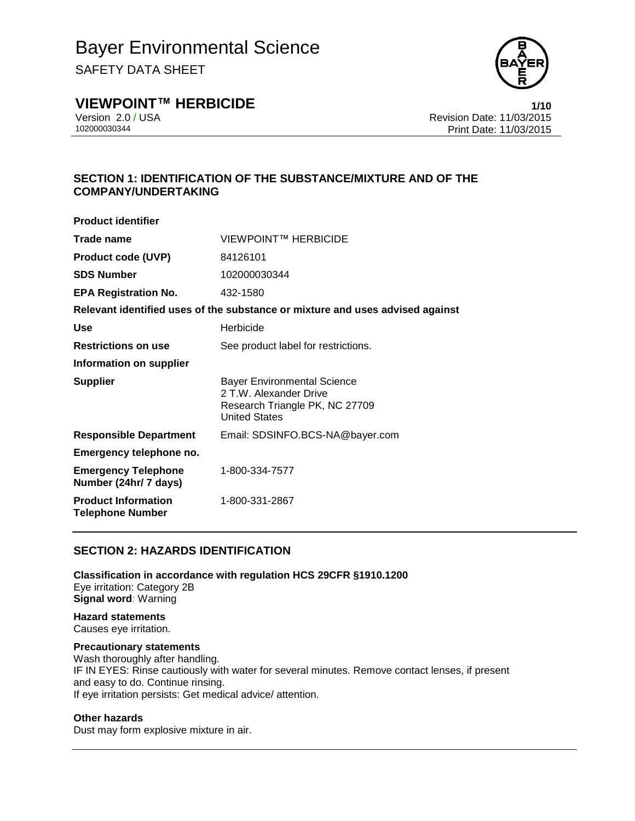SAFETY DATA SHEET



### **VIEWPOINT™ HERBICIDE 1/10**

Version 2.0 / USA Revision Date: 11/03/2015 Print Date: 11/03/2015

#### **SECTION 1: IDENTIFICATION OF THE SUBSTANCE/MIXTURE AND OF THE COMPANY/UNDERTAKING**

| <b>Product identifier</b>                             |                                                                                                                        |
|-------------------------------------------------------|------------------------------------------------------------------------------------------------------------------------|
| Trade name                                            | VIEWPOINT™ HERBICIDE                                                                                                   |
| <b>Product code (UVP)</b>                             | 84126101                                                                                                               |
| <b>SDS Number</b>                                     | 102000030344                                                                                                           |
| <b>EPA Registration No.</b>                           | 432-1580                                                                                                               |
|                                                       | Relevant identified uses of the substance or mixture and uses advised against                                          |
| Use                                                   | Herbicide                                                                                                              |
| <b>Restrictions on use</b>                            | See product label for restrictions.                                                                                    |
| Information on supplier                               |                                                                                                                        |
| <b>Supplier</b>                                       | <b>Bayer Environmental Science</b><br>2 T.W. Alexander Drive<br>Research Triangle PK, NC 27709<br><b>United States</b> |
| <b>Responsible Department</b>                         | Email: SDSINFO.BCS-NA@bayer.com                                                                                        |
| Emergency telephone no.                               |                                                                                                                        |
| <b>Emergency Telephone</b><br>Number (24hr/ 7 days)   | 1-800-334-7577                                                                                                         |
| <b>Product Information</b><br><b>Telephone Number</b> | 1-800-331-2867                                                                                                         |

#### **SECTION 2: HAZARDS IDENTIFICATION**

**Classification in accordance with regulation HCS 29CFR §1910.1200** Eye irritation: Category 2B **Signal word**: Warning

### **Hazard statements**

Causes eye irritation.

#### **Precautionary statements**

Wash thoroughly after handling. IF IN EYES: Rinse cautiously with water for several minutes. Remove contact lenses, if present and easy to do. Continue rinsing. If eye irritation persists: Get medical advice/ attention.

#### **Other hazards**

Dust may form explosive mixture in air.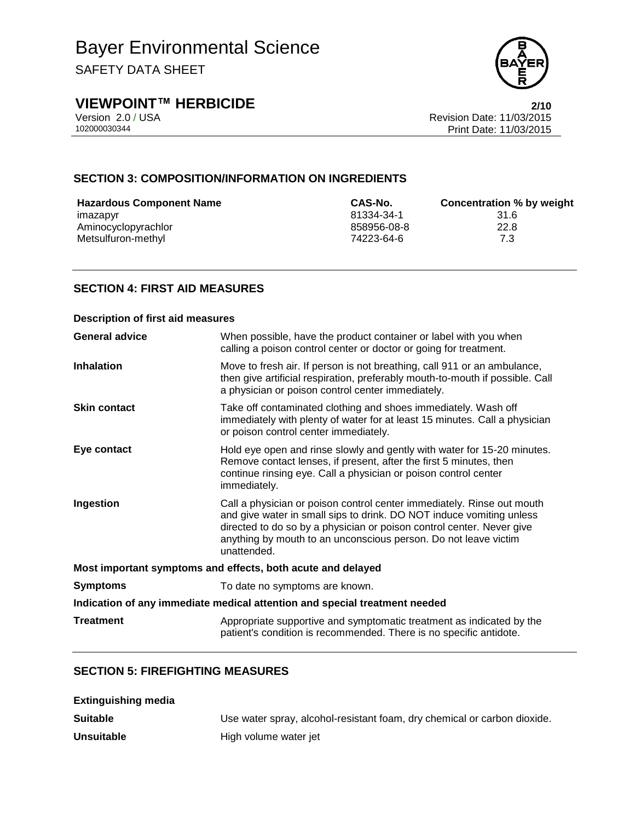SAFETY DATA SHEET



## **VIEWPOINT™ HERBICIDE**<br>Version 2.0 / USA **Proporting the Contract Contract Contract Contract Contract Contract Contract Contract Contra<br>Revision Date: 11/03/2015**

Version 2.0 / USA Revision Date: 11/03/2015<br>102000030344<br>Print Date: 11/03/2015 Print Date: 11/03/2015

#### **SECTION 3: COMPOSITION/INFORMATION ON INGREDIENTS**

| <b>Hazardous Component Name</b> | CAS-No.     | Concentration % by weight |
|---------------------------------|-------------|---------------------------|
| imazapyr                        | 81334-34-1  | 31.6                      |
| Aminocyclopyrachlor             | 858956-08-8 | 22.8                      |
| Metsulfuron-methyl              | 74223-64-6  | 7.3                       |

#### **SECTION 4: FIRST AID MEASURES**

| <b>Description of first aid measures</b>                                   |                                                                                                                                                                                                                                                                                                           |  |
|----------------------------------------------------------------------------|-----------------------------------------------------------------------------------------------------------------------------------------------------------------------------------------------------------------------------------------------------------------------------------------------------------|--|
| <b>General advice</b>                                                      | When possible, have the product container or label with you when<br>calling a poison control center or doctor or going for treatment.                                                                                                                                                                     |  |
| <b>Inhalation</b>                                                          | Move to fresh air. If person is not breathing, call 911 or an ambulance,<br>then give artificial respiration, preferably mouth-to-mouth if possible. Call<br>a physician or poison control center immediately.                                                                                            |  |
| <b>Skin contact</b>                                                        | Take off contaminated clothing and shoes immediately. Wash off<br>immediately with plenty of water for at least 15 minutes. Call a physician<br>or poison control center immediately.                                                                                                                     |  |
| Eye contact                                                                | Hold eye open and rinse slowly and gently with water for 15-20 minutes.<br>Remove contact lenses, if present, after the first 5 minutes, then<br>continue rinsing eye. Call a physician or poison control center<br>immediately.                                                                          |  |
| Ingestion                                                                  | Call a physician or poison control center immediately. Rinse out mouth<br>and give water in small sips to drink. DO NOT induce vomiting unless<br>directed to do so by a physician or poison control center. Never give<br>anything by mouth to an unconscious person. Do not leave victim<br>unattended. |  |
| Most important symptoms and effects, both acute and delayed                |                                                                                                                                                                                                                                                                                                           |  |
| <b>Symptoms</b>                                                            | To date no symptoms are known.                                                                                                                                                                                                                                                                            |  |
| Indication of any immediate medical attention and special treatment needed |                                                                                                                                                                                                                                                                                                           |  |
| <b>Treatment</b>                                                           | Appropriate supportive and symptomatic treatment as indicated by the<br>patient's condition is recommended. There is no specific antidote.                                                                                                                                                                |  |

#### **SECTION 5: FIREFIGHTING MEASURES**

| <b>Extinguishing media</b> |                                                                          |
|----------------------------|--------------------------------------------------------------------------|
| <b>Suitable</b>            | Use water spray, alcohol-resistant foam, dry chemical or carbon dioxide. |
| <b>Unsuitable</b>          | High volume water jet                                                    |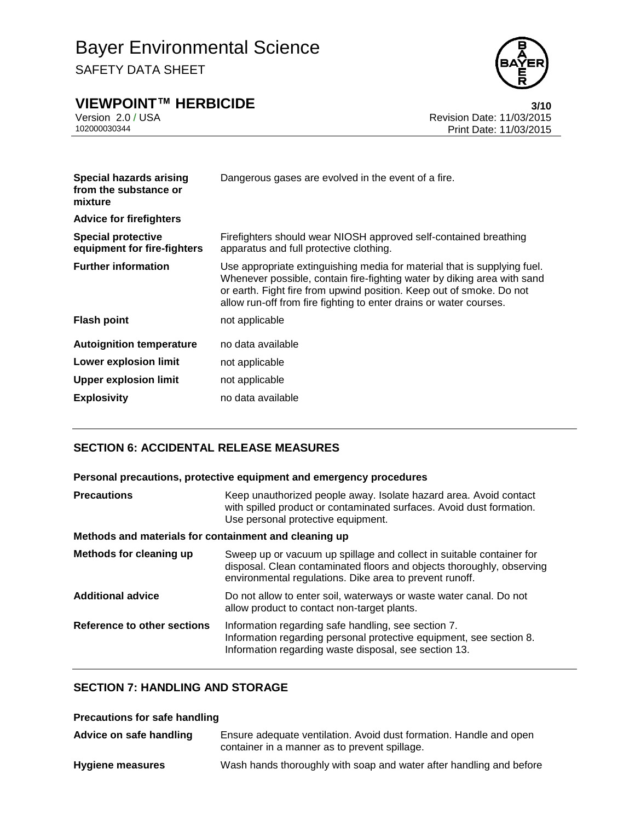## **VIEWPOINT™ HERBICIDE**<br>Version 2.0 / USA **bidding the Case of Case of Case of Case of Case of Case of Case of Case of Case of Case of C**



Version 2.0 / USA Revision Date: 11/03/2015<br>102000030344<br>Print Date: 11/03/2015 Print Date: 11/03/2015

| Special hazards arising<br>Dangerous gases are evolved in the event of a fire.<br>from the substance or<br>mixture                                                                                                                                                                                                              |  |
|---------------------------------------------------------------------------------------------------------------------------------------------------------------------------------------------------------------------------------------------------------------------------------------------------------------------------------|--|
| <b>Advice for firefighters</b>                                                                                                                                                                                                                                                                                                  |  |
| <b>Special protective</b><br>Firefighters should wear NIOSH approved self-contained breathing<br>equipment for fire-fighters<br>apparatus and full protective clothing.                                                                                                                                                         |  |
| <b>Further information</b><br>Use appropriate extinguishing media for material that is supplying fuel.<br>Whenever possible, contain fire-fighting water by diking area with sand<br>or earth. Fight fire from upwind position. Keep out of smoke. Do not<br>allow run-off from fire fighting to enter drains or water courses. |  |
| <b>Flash point</b><br>not applicable                                                                                                                                                                                                                                                                                            |  |
| <b>Autoignition temperature</b><br>no data available                                                                                                                                                                                                                                                                            |  |
| Lower explosion limit<br>not applicable                                                                                                                                                                                                                                                                                         |  |
| <b>Upper explosion limit</b><br>not applicable                                                                                                                                                                                                                                                                                  |  |
| <b>Explosivity</b><br>no data available                                                                                                                                                                                                                                                                                         |  |

#### **SECTION 6: ACCIDENTAL RELEASE MEASURES**

| Personal precautions, protective equipment and emergency procedures |  |
|---------------------------------------------------------------------|--|
|---------------------------------------------------------------------|--|

| <b>Precautions</b>                                    | Keep unauthorized people away. Isolate hazard area. Avoid contact<br>with spilled product or contaminated surfaces. Avoid dust formation.<br>Use personal protective equipment.                          |  |  |
|-------------------------------------------------------|----------------------------------------------------------------------------------------------------------------------------------------------------------------------------------------------------------|--|--|
| Methods and materials for containment and cleaning up |                                                                                                                                                                                                          |  |  |
| Methods for cleaning up                               | Sweep up or vacuum up spillage and collect in suitable container for<br>disposal. Clean contaminated floors and objects thoroughly, observing<br>environmental regulations. Dike area to prevent runoff. |  |  |
| <b>Additional advice</b>                              | Do not allow to enter soil, waterways or waste water canal. Do not<br>allow product to contact non-target plants.                                                                                        |  |  |
| Reference to other sections                           | Information regarding safe handling, see section 7.<br>Information regarding personal protective equipment, see section 8.<br>Information regarding waste disposal, see section 13.                      |  |  |

#### **SECTION 7: HANDLING AND STORAGE**

#### **Precautions for safe handling**

| Advice on safe handling | Ensure adequate ventilation. Avoid dust formation. Handle and open<br>container in a manner as to prevent spillage. |
|-------------------------|---------------------------------------------------------------------------------------------------------------------|
| <b>Hygiene measures</b> | Wash hands thoroughly with soap and water after handling and before                                                 |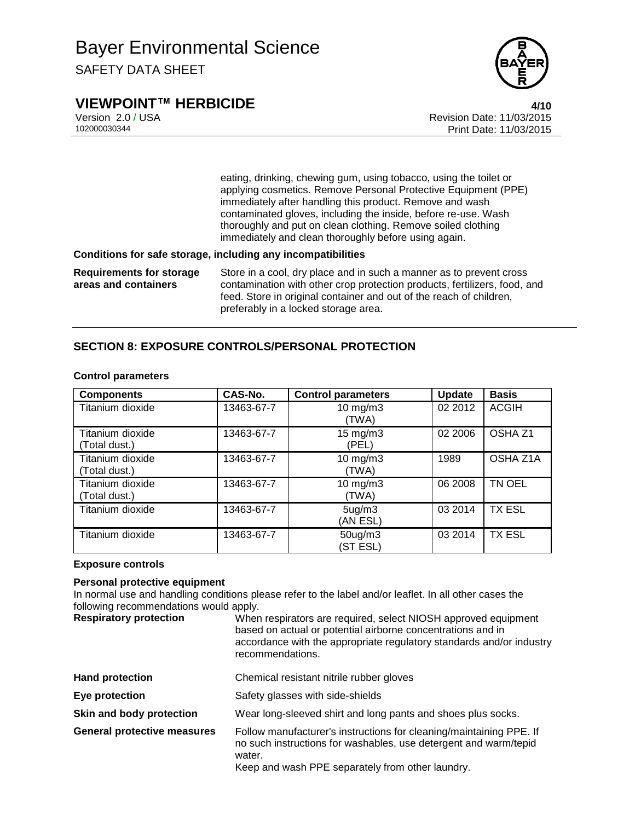



Version 2.0 / USA Revision Date: 11/03/2015<br>102000030344<br>Print Date: 11/03/2015 Print Date: 11/03/2015

> eating, drinking, chewing gum, using tobacco, using the toilet or applying cosmetics. Remove Personal Protective Equipment (PPE) immediately after handling this product. Remove and wash contaminated gloves, including the inside, before re-use. Wash thoroughly and put on clean clothing. Remove soiled clothing immediately and clean thoroughly before using again.

#### **Conditions for safe storage, including any incompatibilities**

**Requirements for storage areas and containers** Store in a cool, dry place and in such a manner as to prevent cross contamination with other crop protection products, fertilizers, food, and feed. Store in original container and out of the reach of children, preferably in a locked storage area.

#### **SECTION 8: EXPOSURE CONTROLS/PERSONAL PROTECTION**

| <b>Components</b>                 | CAS-No.    | <b>Control parameters</b>       | <b>Update</b> | <b>Basis</b>       |
|-----------------------------------|------------|---------------------------------|---------------|--------------------|
| Titanium dioxide                  | 13463-67-7 | $10 \text{ mg/m}$ 3<br>(TWA)    | 02 2012       | <b>ACGIH</b>       |
| Titanium dioxide<br>(Total dust.) | 13463-67-7 | $15 \text{ mg/m}$ 3<br>(PEL)    | 02 2006       | OSHA <sub>Z1</sub> |
| Titanium dioxide<br>(Total dust.) | 13463-67-7 | $10$ mg/m $3$<br>(TWA)          | 1989          | OSHA Z1A           |
| Titanium dioxide<br>(Total dust.) | 13463-67-7 | $10$ mg/m $3$<br>(TWA)          | 06 2008       | TN OEL             |
| Titanium dioxide                  | 13463-67-7 | 5 <sub>ug</sub> /m3<br>(AN ESL) | 03 2014       | <b>TX ESL</b>      |
| Titanium dioxide                  | 13463-67-7 | $50$ ug/m $3$<br>(ST ESL)       | 03 2014       | <b>TX ESL</b>      |

#### **Control parameters**

#### **Exposure controls**

#### **Personal protective equipment**

In normal use and handling conditions please refer to the label and/or leaflet. In all other cases the following recommendations would apply.

| <b>Respiratory protection</b> | When respirators are required, select NIOSH approved equipment<br>based on actual or potential airborne concentrations and in<br>accordance with the appropriate regulatory standards and/or industry<br>recommendations. |
|-------------------------------|---------------------------------------------------------------------------------------------------------------------------------------------------------------------------------------------------------------------------|
|                               |                                                                                                                                                                                                                           |

| <b>Hand protection</b>             | Chemical resistant nitrile rubber gloves                                                                                                          |
|------------------------------------|---------------------------------------------------------------------------------------------------------------------------------------------------|
| Eye protection                     | Safety glasses with side-shields                                                                                                                  |
| Skin and body protection           | Wear long-sleeved shirt and long pants and shoes plus socks.                                                                                      |
| <b>General protective measures</b> | Follow manufacturer's instructions for cleaning/maintaining PPE. If<br>no such instructions for washables, use detergent and warm/tepid<br>water. |

Keep and wash PPE separately from other laundry.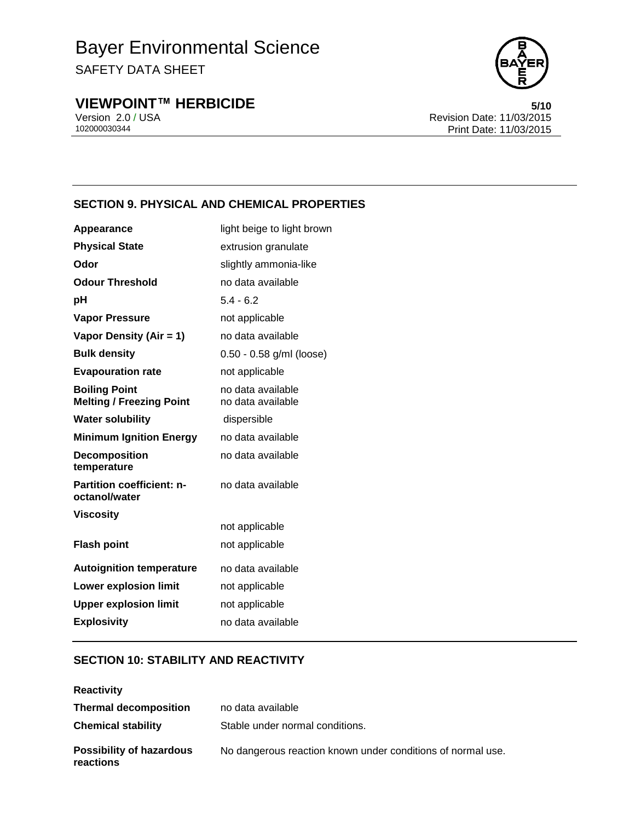# Bayer Environmental Science

SAFETY DATA SHEET

## **VIEWPOINT™ HERBICIDE**<br>Version 2.0 / USA **6/10**<br>Revision Date: 11/03/2015



Version 2.0 / USA Revision Date: 11/03/2015<br>102000030344<br>Print Date: 11/03/2015 Print Date: 11/03/2015

#### **SECTION 9. PHYSICAL AND CHEMICAL PROPERTIES**

| Appearance                                              | light beige to light brown             |
|---------------------------------------------------------|----------------------------------------|
| <b>Physical State</b>                                   | extrusion granulate                    |
| Odor                                                    | slightly ammonia-like                  |
| <b>Odour Threshold</b>                                  | no data available                      |
| рH                                                      | $5.4 - 6.2$                            |
| <b>Vapor Pressure</b>                                   | not applicable                         |
| Vapor Density (Air = 1)                                 | no data available                      |
| <b>Bulk density</b>                                     | 0.50 - 0.58 g/ml (loose)               |
| <b>Evapouration rate</b>                                | not applicable                         |
| <b>Boiling Point</b><br><b>Melting / Freezing Point</b> | no data available<br>no data available |
| <b>Water solubility</b>                                 | dispersible                            |
| <b>Minimum Ignition Energy</b>                          | no data available                      |
| <b>Decomposition</b><br>temperature                     | no data available                      |
| <b>Partition coefficient: n-</b><br>octanol/water       | no data available                      |
| <b>Viscosity</b>                                        |                                        |
|                                                         | not applicable                         |
| <b>Flash point</b>                                      | not applicable                         |
| <b>Autoignition temperature</b>                         | no data available                      |
| <b>Lower explosion limit</b>                            | not applicable                         |
| <b>Upper explosion limit</b>                            | not applicable                         |
| <b>Explosivity</b>                                      | no data available                      |

#### **SECTION 10: STABILITY AND REACTIVITY**

| <b>Reactivity</b>                                            |                                                             |
|--------------------------------------------------------------|-------------------------------------------------------------|
| <b>Thermal decomposition</b>                                 | no data available                                           |
| <b>Chemical stability</b><br>Stable under normal conditions. |                                                             |
| <b>Possibility of hazardous</b><br>reactions                 | No dangerous reaction known under conditions of normal use. |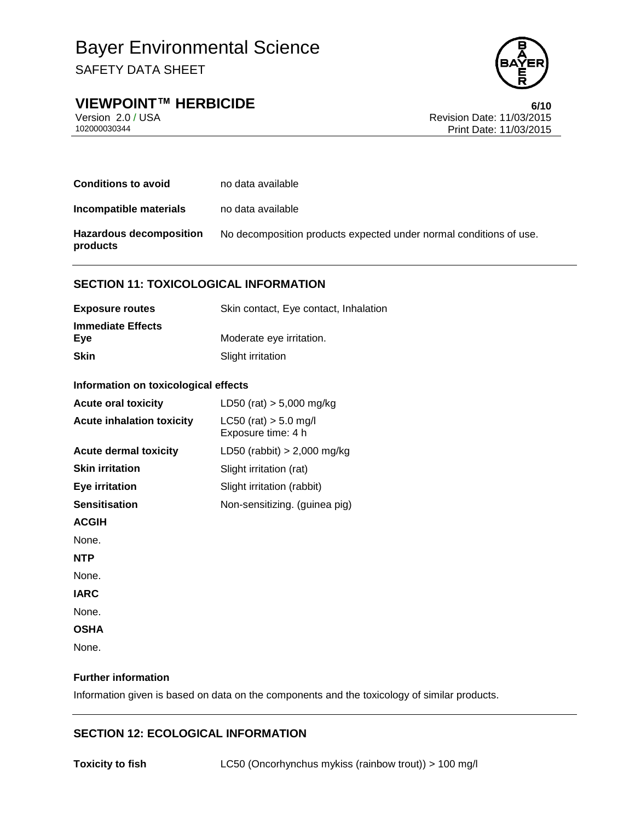**VIEWPOINT™ HERBICIDE 6/10**



Version 2.0 / USA Revision Date: 11/03/2015<br>102000030344<br>Print Date: 11/03/2015 Print Date: 11/03/2015

| <b>Conditions to avoid</b>                 | no data available                                                  |
|--------------------------------------------|--------------------------------------------------------------------|
| Incompatible materials                     | no data available                                                  |
| <b>Hazardous decomposition</b><br>products | No decomposition products expected under normal conditions of use. |

#### **SECTION 11: TOXICOLOGICAL INFORMATION**

| <b>Exposure routes</b>          | Skin contact, Eye contact, Inhalation |
|---------------------------------|---------------------------------------|
| <b>Immediate Effects</b><br>Eve | Moderate eye irritation.              |
| <b>Skin</b>                     | Slight irritation                     |

#### **Information on toxicological effects**

| <b>Acute oral toxicity</b>       | LD50 (rat) $> 5,000$ mg/kg                      |
|----------------------------------|-------------------------------------------------|
| <b>Acute inhalation toxicity</b> | $LC50$ (rat) $> 5.0$ mg/l<br>Exposure time: 4 h |
| <b>Acute dermal toxicity</b>     | LD50 (rabbit) $> 2,000$ mg/kg                   |
| <b>Skin irritation</b>           | Slight irritation (rat)                         |
| <b>Eye irritation</b>            | Slight irritation (rabbit)                      |
| <b>Sensitisation</b>             | Non-sensitizing. (guinea pig)                   |
| <b>ACGIH</b>                     |                                                 |
| None.                            |                                                 |
| <b>NTP</b>                       |                                                 |
| None.                            |                                                 |
| <b>IARC</b>                      |                                                 |
| None.                            |                                                 |
| <b>OSHA</b>                      |                                                 |
| None.                            |                                                 |

#### **Further information**

Information given is based on data on the components and the toxicology of similar products.

#### **SECTION 12: ECOLOGICAL INFORMATION**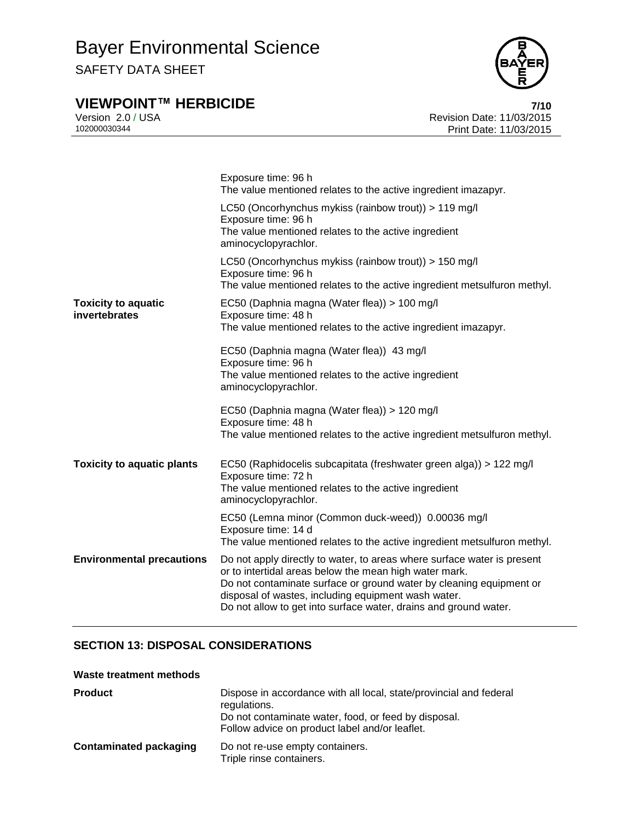## **VIEWPOINT™ HERBICIDE 7/10**



Version 2.0 / USA Revision Date: 11/03/2015<br>102000030344<br>Print Date: 11/03/2015 Print Date: 11/03/2015

|                                             | Exposure time: 96 h<br>The value mentioned relates to the active ingredient imazapyr.                                                                                                                                                                                                                                               |
|---------------------------------------------|-------------------------------------------------------------------------------------------------------------------------------------------------------------------------------------------------------------------------------------------------------------------------------------------------------------------------------------|
|                                             | LC50 (Oncorhynchus mykiss (rainbow trout)) > 119 mg/l<br>Exposure time: 96 h<br>The value mentioned relates to the active ingredient<br>aminocyclopyrachlor.                                                                                                                                                                        |
|                                             | LC50 (Oncorhynchus mykiss (rainbow trout)) > 150 mg/l<br>Exposure time: 96 h<br>The value mentioned relates to the active ingredient metsulfuron methyl.                                                                                                                                                                            |
| <b>Toxicity to aquatic</b><br>invertebrates | EC50 (Daphnia magna (Water flea)) > 100 mg/l<br>Exposure time: 48 h<br>The value mentioned relates to the active ingredient imazapyr.                                                                                                                                                                                               |
|                                             | EC50 (Daphnia magna (Water flea)) 43 mg/l<br>Exposure time: 96 h<br>The value mentioned relates to the active ingredient<br>aminocyclopyrachlor.                                                                                                                                                                                    |
|                                             | EC50 (Daphnia magna (Water flea)) > 120 mg/l<br>Exposure time: 48 h<br>The value mentioned relates to the active ingredient metsulfuron methyl.                                                                                                                                                                                     |
| <b>Toxicity to aquatic plants</b>           | EC50 (Raphidocelis subcapitata (freshwater green alga)) > 122 mg/l<br>Exposure time: 72 h<br>The value mentioned relates to the active ingredient<br>aminocyclopyrachlor.                                                                                                                                                           |
|                                             | EC50 (Lemna minor (Common duck-weed)) 0.00036 mg/l<br>Exposure time: 14 d<br>The value mentioned relates to the active ingredient metsulfuron methyl.                                                                                                                                                                               |
| <b>Environmental precautions</b>            | Do not apply directly to water, to areas where surface water is present<br>or to intertidal areas below the mean high water mark.<br>Do not contaminate surface or ground water by cleaning equipment or<br>disposal of wastes, including equipment wash water.<br>Do not allow to get into surface water, drains and ground water. |

#### **SECTION 13: DISPOSAL CONSIDERATIONS**

#### **Waste treatment methods**

| <b>Product</b>                | Dispose in accordance with all local, state/provincial and federal<br>regulations.<br>Do not contaminate water, food, or feed by disposal.<br>Follow advice on product label and/or leaflet. |
|-------------------------------|----------------------------------------------------------------------------------------------------------------------------------------------------------------------------------------------|
| <b>Contaminated packaging</b> | Do not re-use empty containers.<br>Triple rinse containers.                                                                                                                                  |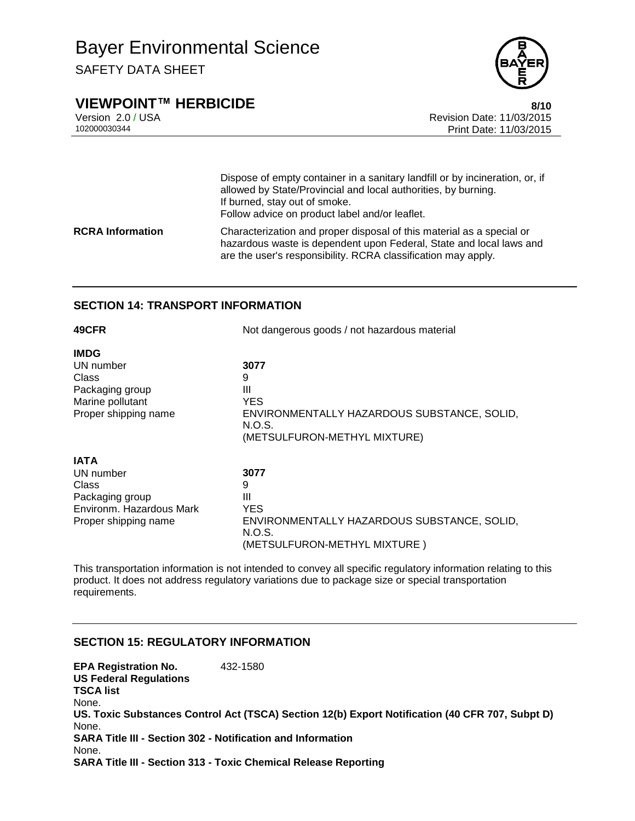## Bayer Environmental Science

SAFETY DATA SHEET



### **VIEWPOINT™ HERBICIDE 8/10**

Version 2.0 / USA Revision Date: 11/03/2015 Print Date: 11/03/2015

|                         | Dispose of empty container in a sanitary landfill or by incineration, or, if<br>allowed by State/Provincial and local authorities, by burning.<br>If burned, stay out of smoke.<br>Follow advice on product label and/or leaflet. |
|-------------------------|-----------------------------------------------------------------------------------------------------------------------------------------------------------------------------------------------------------------------------------|
| <b>RCRA Information</b> | Characterization and proper disposal of this material as a special or<br>hazardous waste is dependent upon Federal, State and local laws and<br>are the user's responsibility. RCRA classification may apply.                     |

#### **SECTION 14: TRANSPORT INFORMATION**

| 49CFR                    | Not dangerous goods / not hazardous material |  |
|--------------------------|----------------------------------------------|--|
| <b>IMDG</b>              |                                              |  |
| UN number                | 3077                                         |  |
| Class                    | 9                                            |  |
| Packaging group          | Ш                                            |  |
| Marine pollutant         | YES.                                         |  |
| Proper shipping name     | ENVIRONMENTALLY HAZARDOUS SUBSTANCE, SOLID,  |  |
|                          | N.O.S.                                       |  |
|                          | (METSULFURON-METHYL MIXTURE)                 |  |
| <b>IATA</b>              |                                              |  |
| UN number                | 3077                                         |  |
| Class                    | 9                                            |  |
| Packaging group          | Ш                                            |  |
| Environm. Hazardous Mark | <b>YES</b>                                   |  |
| Proper shipping name     | ENVIRONMENTALLY HAZARDOUS SUBSTANCE, SOLID,  |  |
|                          | N.O.S.                                       |  |
|                          | (METSULFURON-METHYL MIXTURE)                 |  |

This transportation information is not intended to convey all specific regulatory information relating to this product. It does not address regulatory variations due to package size or special transportation requirements.

#### **SECTION 15: REGULATORY INFORMATION**

**EPA Registration No.** 432-1580 **US Federal Regulations TSCA list** None. **US. Toxic Substances Control Act (TSCA) Section 12(b) Export Notification (40 CFR 707, Subpt D)** None. **SARA Title III - Section 302 - Notification and Information** None. **SARA Title III - Section 313 - Toxic Chemical Release Reporting**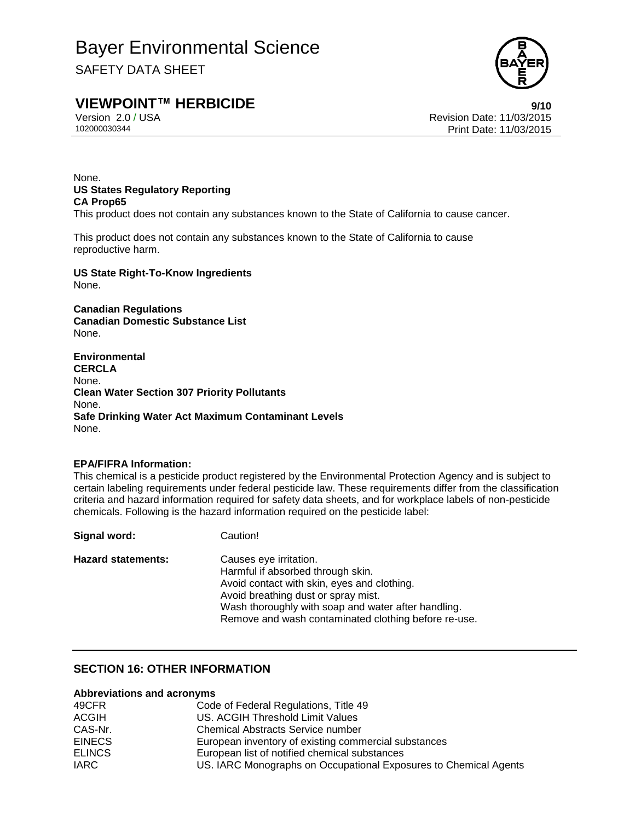SAFETY DATA SHEET

### **VIEWPOINT™ HERBICIDE 9/10**

Version 2.0 / USA Revision Date: 11/03/2015 102000030344 Print Date: 11/03/2015

None. **US States Regulatory Reporting CA Prop65**

This product does not contain any substances known to the State of California to cause cancer.

This product does not contain any substances known to the State of California to cause reproductive harm.

**US State Right-To-Know Ingredients** None.

**Canadian Regulations Canadian Domestic Substance List** None.

**Environmental CERCLA** None. **Clean Water Section 307 Priority Pollutants** None. **Safe Drinking Water Act Maximum Contaminant Levels** None.

#### **EPA/FIFRA Information:**

This chemical is a pesticide product registered by the Environmental Protection Agency and is subject to certain labeling requirements under federal pesticide law. These requirements differ from the classification criteria and hazard information required for safety data sheets, and for workplace labels of non-pesticide chemicals. Following is the hazard information required on the pesticide label:

**Signal word:** Caution! **Hazard statements:** Causes eye irritation. Harmful if absorbed through skin. Avoid contact with skin, eyes and clothing. Avoid breathing dust or spray mist. Wash thoroughly with soap and water after handling. Remove and wash contaminated clothing before re-use.

#### **SECTION 16: OTHER INFORMATION**

#### **Abbreviations and acronyms**

| 49CFR         | Code of Federal Regulations, Title 49                            |
|---------------|------------------------------------------------------------------|
| <b>ACGIH</b>  | US. ACGIH Threshold Limit Values                                 |
| CAS-Nr.       | <b>Chemical Abstracts Service number</b>                         |
| <b>EINECS</b> | European inventory of existing commercial substances             |
| <b>ELINCS</b> | European list of notified chemical substances                    |
| <b>IARC</b>   | US. IARC Monographs on Occupational Exposures to Chemical Agents |